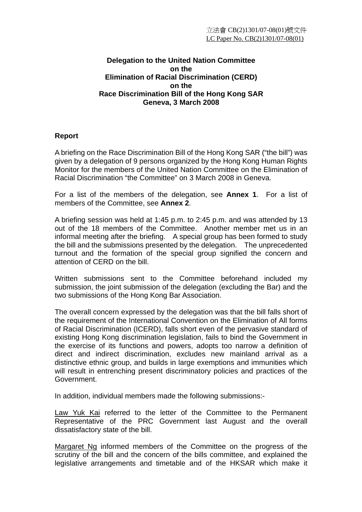#### **Delegation to the United Nation Committee on the Elimination of Racial Discrimination (CERD) on the Race Discrimination Bill of the Hong Kong SAR Geneva, 3 March 2008**

#### **Report**

A briefing on the Race Discrimination Bill of the Hong Kong SAR ("the bill") was given by a delegation of 9 persons organized by the Hong Kong Human Rights Monitor for the members of the United Nation Committee on the Elimination of Racial Discrimination "the Committee" on 3 March 2008 in Geneva.

For a list of the members of the delegation, see **Annex 1**. For a list of members of the Committee, see **Annex 2**.

A briefing session was held at 1:45 p.m. to 2:45 p.m. and was attended by 13 out of the 18 members of the Committee. Another member met us in an informal meeting after the briefing. A special group has been formed to study the bill and the submissions presented by the delegation. The unprecedented turnout and the formation of the special group signified the concern and attention of CERD on the bill.

Written submissions sent to the Committee beforehand included my submission, the joint submission of the delegation (excluding the Bar) and the two submissions of the Hong Kong Bar Association.

The overall concern expressed by the delegation was that the bill falls short of the requirement of the International Convention on the Elimination of All forms of Racial Discrimination (ICERD), falls short even of the pervasive standard of existing Hong Kong discrimination legislation, fails to bind the Government in the exercise of its functions and powers, adopts too narrow a definition of direct and indirect discrimination, excludes new mainland arrival as a distinctive ethnic group, and builds in large exemptions and immunities which will result in entrenching present discriminatory policies and practices of the Government.

In addition, individual members made the following submissions:-

Law Yuk Kai referred to the letter of the Committee to the Permanent Representative of the PRC Government last August and the overall dissatisfactory state of the bill.

Margaret Ng informed members of the Committee on the progress of the scrutiny of the bill and the concern of the bills committee, and explained the legislative arrangements and timetable and of the HKSAR which make it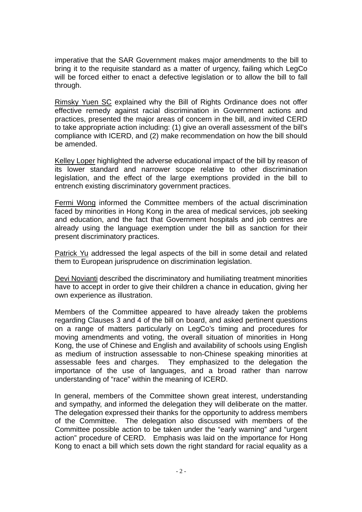imperative that the SAR Government makes major amendments to the bill to bring it to the requisite standard as a matter of urgency, failing which LegCo will be forced either to enact a defective legislation or to allow the bill to fall through.

Rimsky Yuen SC explained why the Bill of Rights Ordinance does not offer effective remedy against racial discrimination in Government actions and practices, presented the major areas of concern in the bill, and invited CERD to take appropriate action including: (1) give an overall assessment of the bill's compliance with ICERD, and (2) make recommendation on how the bill should be amended.

Kelley Loper highlighted the adverse educational impact of the bill by reason of its lower standard and narrower scope relative to other discrimination legislation, and the effect of the large exemptions provided in the bill to entrench existing discriminatory government practices.

Fermi Wong informed the Committee members of the actual discrimination faced by minorities in Hong Kong in the area of medical services, job seeking and education, and the fact that Government hospitals and job centres are already using the language exemption under the bill as sanction for their present discriminatory practices.

Patrick Yu addressed the legal aspects of the bill in some detail and related them to European jurisprudence on discrimination legislation.

Devi Novianti described the discriminatory and humiliating treatment minorities have to accept in order to give their children a chance in education, giving her own experience as illustration.

Members of the Committee appeared to have already taken the problems regarding Clauses 3 and 4 of the bill on board, and asked pertinent questions on a range of matters particularly on LegCo's timing and procedures for moving amendments and voting, the overall situation of minorities in Hong Kong, the use of Chinese and English and availability of schools using English as medium of instruction assessable to non-Chinese speaking minorities at assessable fees and charges. They emphasized to the delegation the importance of the use of languages, and a broad rather than narrow understanding of "race" within the meaning of ICERD.

In general, members of the Committee shown great interest, understanding and sympathy, and informed the delegation they will deliberate on the matter. The delegation expressed their thanks for the opportunity to address members of the Committee. The delegation also discussed with members of the Committee possible action to be taken under the "early warning" and "urgent action" procedure of CERD. Emphasis was laid on the importance for Hong Kong to enact a bill which sets down the right standard for racial equality as a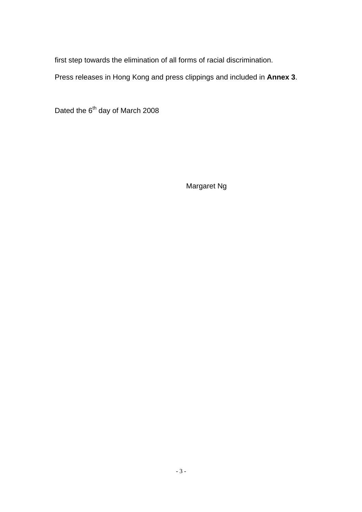first step towards the elimination of all forms of racial discrimination.

Press releases in Hong Kong and press clippings and included in **Annex 3**.

Dated the 6<sup>th</sup> day of March 2008

Margaret Ng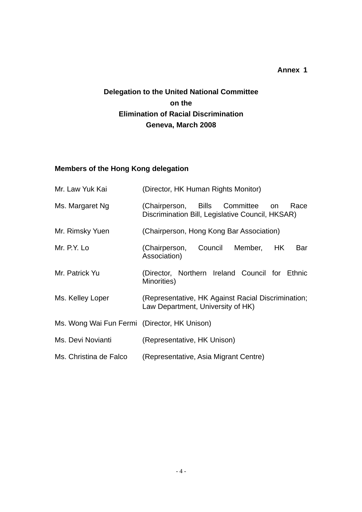#### **Annex 1**

# **Delegation to the United National Committee on the Elimination of Racial Discrimination Geneva, March 2008**

## **Members of the Hong Kong delegation**

| Mr. Law Yuk Kai                              | (Director, HK Human Rights Monitor)                                                             |  |  |  |  |
|----------------------------------------------|-------------------------------------------------------------------------------------------------|--|--|--|--|
| Ms. Margaret Ng                              | (Chairperson, Bills Committee<br>Race<br>on<br>Discrimination Bill, Legislative Council, HKSAR) |  |  |  |  |
| Mr. Rimsky Yuen                              | (Chairperson, Hong Kong Bar Association)                                                        |  |  |  |  |
| Mr. P.Y. Lo                                  | (Chairperson, Council<br>Member,<br>HK.<br>Bar<br>Association)                                  |  |  |  |  |
| Mr. Patrick Yu                               | (Director, Northern Ireland Council for Ethnic<br>Minorities)                                   |  |  |  |  |
| Ms. Kelley Loper                             | (Representative, HK Against Racial Discrimination;<br>Law Department, University of HK)         |  |  |  |  |
| Ms. Wong Wai Fun Fermi (Director, HK Unison) |                                                                                                 |  |  |  |  |
| Ms. Devi Novianti                            | (Representative, HK Unison)                                                                     |  |  |  |  |
| Ms. Christina de Falco                       | (Representative, Asia Migrant Centre)                                                           |  |  |  |  |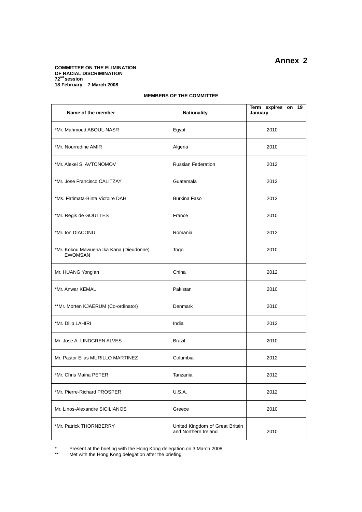#### **COMMITTEE ON THE ELIMINATION OF RACIAL DISCRIMINATION 72nd session 18 February – 7 March 2008**

#### **MEMBERS OF THE COMMITTEE**

| Name of the member                                        | Nationality                                             | Term expires on 19<br>January |
|-----------------------------------------------------------|---------------------------------------------------------|-------------------------------|
| *Mr. Mahmoud ABOUL-NASR                                   | Egypt                                                   | 2010                          |
| *Mr. Nourredine AMIR                                      | Algeria                                                 | 2010                          |
| *Mr. Alexei S. AVTONOMOV                                  | <b>Russian Federation</b>                               | 2012                          |
| *Mr. Jose Francisco CALITZAY                              | Guatemala                                               | 2012                          |
| *Ms. Fatimata-Binta Victoire DAH                          | <b>Burkina Faso</b>                                     | 2012                          |
| *Mr. Regis de GOUTTES                                     | France                                                  | 2010                          |
| *Mr. Ion DIACONU                                          | Romania                                                 | 2012                          |
| *Mr. Kokou Mawuena Ika Kana (Dieudonne)<br><b>EWOMSAN</b> | Togo                                                    | 2010                          |
| Mr. HUANG Yong'an                                         | China                                                   | 2012                          |
| *Mr. Anwar KEMAL                                          | Pakistan                                                | 2010                          |
| **Mr. Morten KJAERUM (Co-ordinator)                       | <b>Denmark</b>                                          | 2010                          |
| *Mr. Dilip LAHIRI                                         | India                                                   | 2012                          |
| Mr. Jose A. LINDGREN ALVES                                | <b>Brazil</b>                                           | 2010                          |
| Mr. Pastor Elias MURILLO MARTINEZ                         | Columbia                                                | 2012                          |
| *Mr. Chris Maina PETER                                    | Tanzania                                                | 2012                          |
| *Mr. Pierre-Richard PROSPER                               | <b>U.S.A.</b>                                           | 2012                          |
| Mr. Linos-Alexandre SICILIANOS                            | Greece                                                  | 2010                          |
| *Mr. Patrick THORNBERRY                                   | United Kingdom of Great Britain<br>and Northern Ireland | 2010                          |

\* Present at the briefing with the Hong Kong delegation on 3 March 2008

\*\* Met with the Hong Kong delegation after the briefing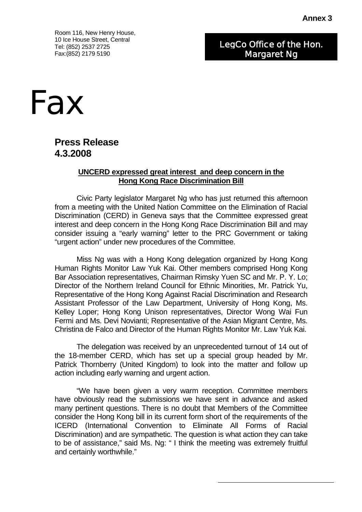Room 116, New Henry House, 10 Ice House Street, Central Tel: (852) 2537 2725 Fax:(852) 2179 5190

LegCo Office of the Hon. Margaret Ng



# **Press Release 4.3.2008**

#### **UNCERD expressed great interest and deep concern in the Hong Kong Race Discrimination Bill**

 Civic Party legislator Margaret Ng who has just returned this afternoon from a meeting with the United Nation Committee on the Elimination of Racial Discrimination (CERD) in Geneva says that the Committee expressed great interest and deep concern in the Hong Kong Race Discrimination Bill and may consider issuing a "early warning" letter to the PRC Government or taking "urgent action" under new procedures of the Committee.

 Miss Ng was with a Hong Kong delegation organized by Hong Kong Human Rights Monitor Law Yuk Kai. Other members comprised Hong Kong Bar Association representatives, Chairman Rimsky Yuen SC and Mr. P. Y. Lo; Director of the Northern Ireland Council for Ethnic Minorities, Mr. Patrick Yu, Representative of the Hong Kong Against Racial Discrimination and Research Assistant Professor of the Law Department, University of Hong Kong, Ms. Kelley Loper; Hong Kong Unison representatives, Director Wong Wai Fun Fermi and Ms. Devi Novianti; Representative of the Asian Migrant Centre, Ms. Christina de Falco and Director of the Human Rights Monitor Mr. Law Yuk Kai.

 The delegation was received by an unprecedented turnout of 14 out of the 18-member CERD, which has set up a special group headed by Mr. Patrick Thornberry (United Kingdom) to look into the matter and follow up action including early warning and urgent action.

 "We have been given a very warm reception. Committee members have obviously read the submissions we have sent in advance and asked many pertinent questions. There is no doubt that Members of the Committee consider the Hong Kong bill in its current form short of the requirements of the ICERD (International Convention to Eliminate All Forms of Racial Discrimination) and are sympathetic. The question is what action they can take to be of assistance," said Ms. Ng: " I think the meeting was extremely fruitful and certainly worthwhile."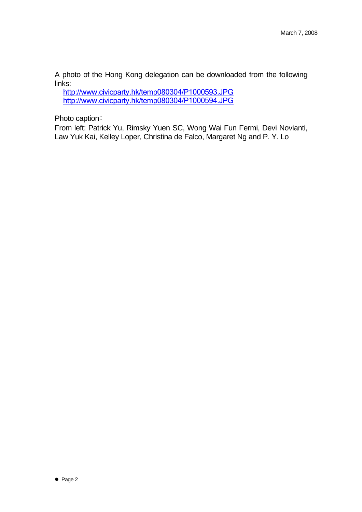A photo of the Hong Kong delegation can be downloaded from the following links:

http://www.civicparty.hk/temp080304/P1000593.JPG http://www.civicparty.hk/temp080304/P1000594.JPG

Photo caption﹕

From left: Patrick Yu, Rimsky Yuen SC, Wong Wai Fun Fermi, Devi Novianti, Law Yuk Kai, Kelley Loper, Christina de Falco, Margaret Ng and P. Y. Lo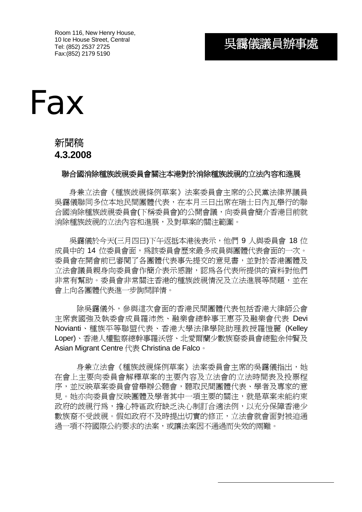Room 116, New Henry House, 10 Ice House Street, Central Tel: (852) 2537 2725 Fax:(852) 2179 5190

# 吳靄儀議員辦事處



# 新聞稿 **4.3.2008**

#### 聯合國消除種族歧視委員會關注本港對於消除種族歧視的立法內容和進展

身兼立法會《種族歧視條例草案》法案委員會主席的公民黨法律界議員 吳靄儀聯同多位本地民間團體代表,在本月三日出席在瑞士日內瓦舉行的聯 合國消除種族歧視委員會(下稱委員會)的公開會議,向委員會簡介香港目前就 消除種族歧視的立法內容和進展,及對草案的關注範圍。

 吳靄儀於今天(三月四日)下午返抵本港後表示,他們 9 人與委員會 18 位 成員中的 14 位委員會面,為該委員會歷來最多成員與團體代表會面的一次。 委員會在開會前已審閱了各團體代表事先提交的意見書,並對於香港團體及 立法會議員親身向委員會作簡介表示感謝,認為各代表所提供的資料對他們 非常有幫助。委員會非常關注香港的種族歧視情況及立法進展等問題,並在 會上向各團體代表進一步詢問詳情。

除吳靄儀外,參與這次會面的香港民間團體代表包括香港大律師公會 主席袁國強及執委會成員羅沛然、融樂會總幹事王惠芬及融樂會代表 Devi Novianti、種族平等聯盟代表、香港大學法律學院助理教授羅愷麗 (Kelley Loper)、香港人權監察總幹事羅沃啟、北愛爾蘭少數族裔委員會總監余仲賢及 Asian Migrant Centre 代表 Christina de Falco。

身兼立法會《種族歧視條例草案》法案委員會主席的吳靄儀指出,她 在會上主要向委員會解釋草案的主要內容及立法會的立法時間表及投票程 序,並反映草案委員會曾舉辦公聽會,聽取民間團體代表、學者及專家的意 見。她亦向委員會反映團體及學者其中一項主要的關注,就是草案未能約束 政府的歧視行為,擔心特區政府缺乏決心制訂合適法例,以充分保障香港少 數族裔不受歧視。假如政府不及時提出切實的修正,立法會就會面對被迫通 過一項不符國際公約要求的法案,或讓法案因不通過而失效的兩難。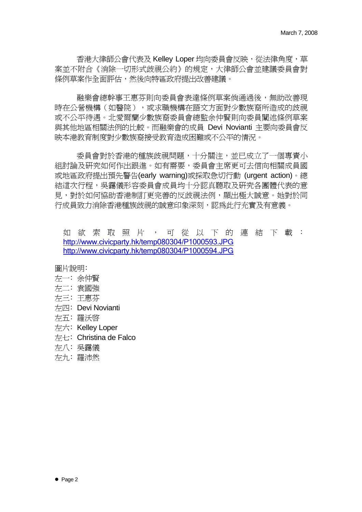香港大律師公會代表及 Kelley Loper 均向委員會反映, 從法律角度, 草 案並不附合《消除一切形式歧視公約》的規定,大律師公會並建議委員會對 條例草案作全面評估,然後向特區政府提出改善建議。

融樂會總幹事王惠芬則向委員會表達條例草案倘通過後,無助改善現 時在公營機構(如醫院),或求職機構在語文方面對少數族裔所造成的歧視 或不公平待遇。北愛爾蘭少數族裔委員會總監余仲賢則向委員闡述條例草案 與其他地區相關法例的比較。而融樂會的成員 Devi Novianti 主要向委員會反 映本港教育制度對少數族裔接受教育造成困難或不公平的情況。

委員會對於香港的種族歧視問題,十分關注,並已成立了一個專責小 組討論及研究如何作出跟淮。如有需要,委員會主席更可去信向相關成員國 或地區政府提出預先警告(early warning)或採取急切行動 (urgent action)。總 結這次行程,吳靄儀形容委員會成員均十分認真聽取及研究各團體代表的意 見,對於如何協助香港制訂更完善的反歧視法例,顯出極大誠意。她對於同 行成員致力消除香港種族歧視的誠意印象深刻,認為此行充實及有意義。

如欲索取照片,可從以下的連結下載: http://www.civicparty.hk/temp080304/P1000593.JPG http://www.civicparty.hk/temp080304/P1000594.JPG

圖片說明﹕

- 左一﹕余仲賢
- 左二﹕袁國強
- 左三﹕王惠芬
- 左四﹕Devi Novianti
- 左五﹕羅沃啟
- 左六: Kelley Loper
- 左七﹕Christina de Falco
- 左八﹕吳靄儀
- 左九﹕羅沛然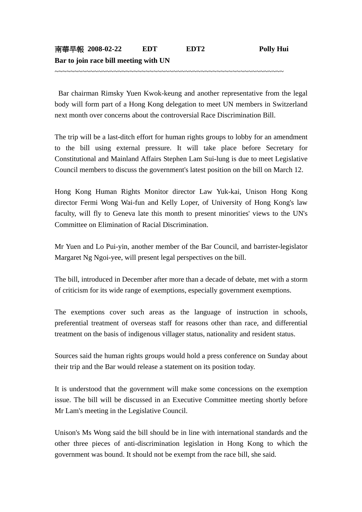~~~~~~~~~~~~~~~~~~~~~~~~~~~~~~~~~~~~~~~~~~~~~~~~~~~~~~~~~~

 Bar chairman Rimsky Yuen Kwok-keung and another representative from the legal body will form part of a Hong Kong delegation to meet UN members in Switzerland next month over concerns about the controversial Race Discrimination Bill.

The trip will be a last-ditch effort for human rights groups to lobby for an amendment to the bill using external pressure. It will take place before Secretary for Constitutional and Mainland Affairs Stephen Lam Sui-lung is due to meet Legislative Council members to discuss the government's latest position on the bill on March 12.

Hong Kong Human Rights Monitor director Law Yuk-kai, Unison Hong Kong director Fermi Wong Wai-fun and Kelly Loper, of University of Hong Kong's law faculty, will fly to Geneva late this month to present minorities' views to the UN's Committee on Elimination of Racial Discrimination.

Mr Yuen and Lo Pui-yin, another member of the Bar Council, and barrister-legislator Margaret Ng Ngoi-yee, will present legal perspectives on the bill.

The bill, introduced in December after more than a decade of debate, met with a storm of criticism for its wide range of exemptions, especially government exemptions.

The exemptions cover such areas as the language of instruction in schools, preferential treatment of overseas staff for reasons other than race, and differential treatment on the basis of indigenous villager status, nationality and resident status.

Sources said the human rights groups would hold a press conference on Sunday about their trip and the Bar would release a statement on its position today.

It is understood that the government will make some concessions on the exemption issue. The bill will be discussed in an Executive Committee meeting shortly before Mr Lam's meeting in the Legislative Council.

Unison's Ms Wong said the bill should be in line with international standards and the other three pieces of anti-discrimination legislation in Hong Kong to which the government was bound. It should not be exempt from the race bill, she said.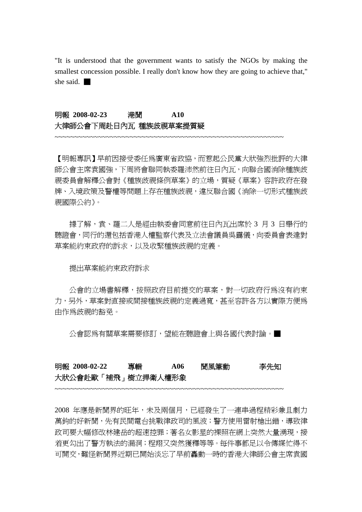"It is understood that the government wants to satisfy the NGOs by making the smallest concession possible. I really don't know how they are going to achieve that," she said. ■

#### 明報 **2008-02-23** 港聞 **A10**  大律師公會下周赴日內瓦 種族歧視草案提質疑

【明報專訊】早前因接受委任為廣東省政協,而惹起公民黨大狀強烈批評的大律 師公會主席袁國強,下周將會聯同執委羅沛然前往日內瓦,向聯合國消除種族歧 視委員會解釋公會對《種族歧視條例草案》的立場,質疑《草案》容許政府在發 牌、入境政策及警權等問題上存在種族歧視,違反聯合國《消除一切形式種族歧 視國際公約》。

~~~~~~~~~~~~~~~~~~~~~~~~~~~~~~~~~~~~~~~~~~~~~~~~~~~~~~~~~~

據了解,袁、羅二人是經由執委會同意前往日內瓦出席於 3 月 3 日舉行的 聽證會,同行的還包括香港人權監察代表及立法會議員吳靄儀,向委員會表達對 草案能約束政府的訴求,以及收緊種族歧視的定義。

#### 提出草案能約束政府訴求

 公會的立場書解釋,按照政府目前提交的草案,對一切政府行為沒有約束 力,另外,草案對直接或間接種族歧視的定義過寬,甚至容許各方以實際方便為 由作為歧視的豁免。

公會認為有關草案需要修訂,望能在聽證會上與各國代表討論。■

## 明報 **2008-02-22** 專輯 **A06** 聞風筆動李先知 大狀公會赴歐「補飛」樹立捍衛人權形象

~~~~~~~~~~~~~~~~~~~~~~~~~~~~~~~~~~~~~~~~~~~~~~~~~~~~~~~~~~

2008 年應是新聞界的旺年,未及兩個月,已經發生了一連串過程精彩兼且劇力 萬鈞的好新聞,先有民間電台挑戰律政司的風波;警方使用雷射槍出錯,導致律 政司要大幅修改林建岳的超速控罪;著名女影星的裸照在網上突然大量湧現,接 更勾出了警方執法的漏洞;程翔又突然獲釋等等。每件事都足以令傳媒忙得不 可開交,難怪新聞界近期已開始淡忘了早前轟動一時的香港大律師公會主席袁國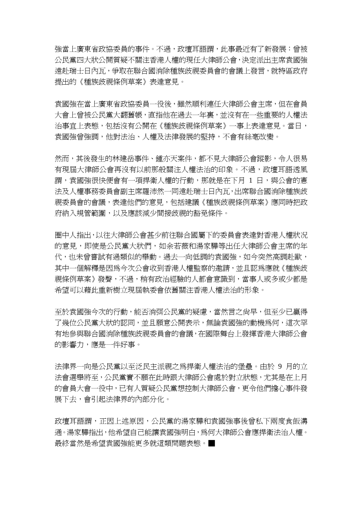強當上廣東省政協委員的事件。不過,政壇耳語謂,此事最近有了新發展:曾被 公民黨四大狀公開質疑不關注香港人權的現任大律師公會,決定派出主席袁國強 遠赴瑞士日內瓦,爭取在聯合國消除種族歧視委員會的會議上發言,就特區政府 提出的《種族歧視條例草案》表達意見。

袁國強在當上廣東省政協委員一役後,雖然順利連任大律師公會主席,但在會員 大會上曾被公民黨大翻舊帳,直指他在過去一年裏,並沒有在一些重要的人權法 治事宜上表態,包括沒有公開在《種族歧視條例草案》一事上表達意見。當日, 袁國強曾強調,他對法治、人權及法律發展的堅持,不會有絲毫改變。

然而,其後發生的林建岳事件、鍾亦天案件,都不見大律師公會蹤影,令人很易 有現屆大律師公會再沒有以前那般關注人權法治的印象。不過,政壇耳語透風 謂,袁國強很快便會有一項捍衛人權的行動,那就是在下月 1 日,與公會的憲 法及人權事務委員會副主席羅沛然一同遠赴瑞士日內瓦,出席聯合國消除種族歧 視委員會的會議,表達他們的意見,包括建議《種族歧視條例草案》應同時把政 府納入規管範圍,以及應該減少間接歧視的豁免條件。

圈中人指出,以往大律師公會甚少前往聯合國屬下的委員會表達對香港人權狀況 的意見,即使是公民黨大狀們,如余若薇和湯家驊等出任大律師公會主席的年 代,也未曾嘗試有過類似的舉動。過去一向低調的袁國強,如今突然高調赴歐, 其中一個解釋是因為今次公會收到香港人權監察的邀請,並且認為應就《種族歧 視條例草案》發聲,不過,稍有政治經驗的人都會意識到,當事人或多或少都是 希望可以藉此重新樹立現屆執委會依舊關注香港人權法治的形象。

至於袁國強今次的行動,能否消弭公民黨的疑慮,當然言之尚早,但至少已贏得 了幾位公民黨大狀的認同,並且願意公開表示,無論袁國強的動機為何,這次罕 有地參與聯合國消除種族歧視委員會的會議,在國際舞台上發揮香港大律師公會 的影響力,應是一件好事。

法律界一向是公民黨以至泛民主派視之為捍衛人權法治的堡壘。由於 9 月的立 法會選舉將至,公民黨實不願在此時跟大律師公會處於對立狀態,尤其是在上月 的會員大會一役中,已有人質疑公民黨想控制大律師公會,更令他們擔心事件發 展下去,會引起法律界的內部分化。

政壇耳語謂,正因上述原因,公民黨的湯家驊和袁國強事後曾私下兩度食飯溝 通。湯家驊指出,他希望自己能讓袁國強明白,為何大律師公會應捍衛法治人權。 最終當然是希望袁國強能更多就這類問題表態。■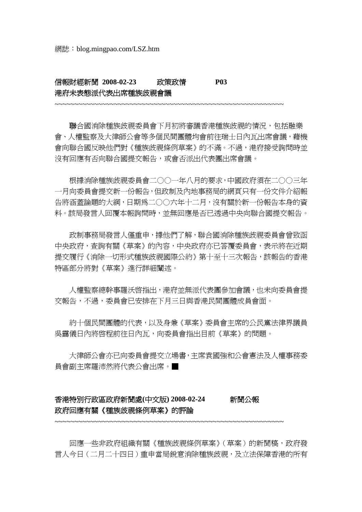# 信報財經新聞 **2008-02-23** 政策政情 **P03**  港府未表態派代表出席種族歧視會議

聯合國消除種族歧視委員會下月初將審議香港種族歧視的情況,包括融樂 會、人權監察及大律師公會等多個民間團體均會前往瑞士日內瓦出席會議,藉機 會向聯合國反映他們對《種族歧視條例草案》的不滿。不過,港府接受詢問時並 沒有回應有否向聯合國提交報告,或會否派出代表團出席會議。

~~~~~~~~~~~~~~~~~~~~~~~~~~~~~~~~~~~~~~~~~~~~~~~~~~~~~~~~~~

 根據消除種族歧視委員會二○○一年八月的要求,中國政府須在二○○三年 一月向委員會提交新一份報告,但政制及內地事務局的網頁只有一份文件介紹報 告將涵蓋論題的大綱,日期為二○○六年十二月,沒有關於新一份報告本身的資 料。該局發言人回覆本報詢問時,並無回應是否已透過中央向聯合國提交報告。

政制事務局發言人僅重申,據他們了解,聯合國消除種族歧視委員會曾致函 中央政府,查詢有關《草案》的內容,中央政府亦已答覆委員會,表示將在近期 提交履行《消除一切形式種族歧視國際公約》第十至十三次報告,該報告的香港 特區部分將對《草案》進行詳細闡述。

 人權監察總幹事羅沃啟指出,港府並無派代表團參加會議,也未向委員會提 交報告,不過,委員會已安排在下月三日與香港民間團體成員會面。

 約十個民間團體的代表,以及身兼《草案》委員會主席的公民黨法律界議員 吳靄儀日內將啟程前往日內瓦,向委員會指出目前《草案》的問題。

 大律師公會亦已向委員會提交立場書,主席袁國強和公會憲法及人權事務委 員會副主席羅沛然將代表公會出席。■

### 香港特別行政區政府新聞處**(**中文版**) 2008-02-24** 新聞公報 政府回應有關《種族歧視條例草案》的評論

~~~~~~~~~~~~~~~~~~~~~~~~~~~~~~~~~~~~~~~~~~~~~~~~~~~~~~~~~~

 回應一些非政府組織有關《種族歧視條例草案》(草案)的新聞稿,政府發 言人今日(二月二十四日)重申當局銳意消除種族歧視,及立法保障香港的所有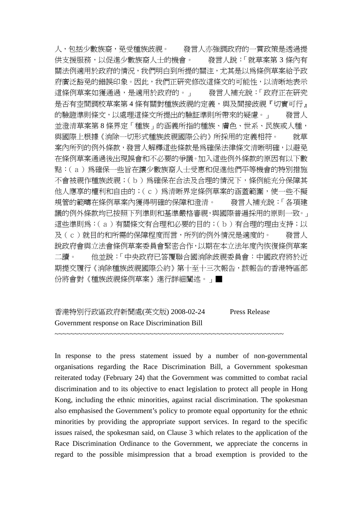人,包括少數族裔,免受種族歧視。 發言人亦強調政府的一貫政策是透過提 供支援服務,以促進少數族裔人士的機會。 發言人說:「就草案第 3 條內有 關法例適用於政府的情況,我們明白到所提的關注,尤其是以為條例草案給予政 府廣泛豁免的錯誤印象。因此,我們正研究修改這條文的可能性,以清晰地表示 這條例草案如獲通過,是適用於政府的。」 發言人補充說:「政府正在研究 是否有空間調校草案第 4 條有關對種族歧視的定義,與及間接歧視『切實可行』 的驗證準則條文,以處理這條文所提出的驗証準則所帶來的疑慮。」 發言人 並澄清草案第 8 條界定「種族」的涵義所指的種族、膚色、世系、民族或人種, 與國際上根據《消除一切形式種族歧視國際公約》所採用的定義相符。 就草 案內所列的例外條款,發言人解釋這些條款是為確保法律條文清晰明確,以避免 在條例草案通過後出現誤會和不必要的爭議。加入這些例外條款的原因有以下數 點:(a)為確保一些旨在讓少數族裔人士受惠和促進他們平等機會的特別措施 不會被視作種族歧視;(b)為確保在合法及合理的情況下,條例能充分保障其 他人應享的權利和自由的;(c)為清晰界定條例草案的涵蓋範圍,使一些不擬 規管的範疇在條例草案內獲得明確的保障和澄清。 發言人補充說:「各項建 議的例外條款均已按照下列準則和基準嚴格審視,與國際普遍採用的原則一致。」 這些準則爲:(a)有關條文有合理和必要的目的;(b)有合理的理由支持;以 及(c)就目的和所需的保障程度而言,所列的例外情況是適度的。 發言人 說政府會與立法會條例草案委員會緊密合作,以期在本立法年度內恢復條例草案 二讀。 他並說:「中央政府已答覆聯合國消除歧視委員會:中國政府將於近 期提交履行《消除種族歧視國際公約》第十至十三次報告,該報告的香港特區部 份將會對《種族歧視條例草案》進行詳細闡述。」■

# 香港特別行政區政府新聞處(英文版) 2008-02-24 Press Release Government response on Race Discrimination Bill

In response to the press statement issued by a number of non-governmental organisations regarding the Race Discrimination Bill, a Government spokesman reiterated today (February 24) that the Government was committed to combat racial discrimination and to its objective to enact legislation to protect all people in Hong Kong, including the ethnic minorities, against racial discrimination. The spokesman also emphasised the Government's policy to promote equal opportunity for the ethnic minorities by providing the appropriate support services. In regard to the specific issues raised, the spokesman said, on Clause 3 which relates to the application of the Race Discrimination Ordinance to the Government, we appreciate the concerns in regard to the possible misimpression that a broad exemption is provided to the

~~~~~~~~~~~~~~~~~~~~~~~~~~~~~~~~~~~~~~~~~~~~~~~~~~~~~~~~~~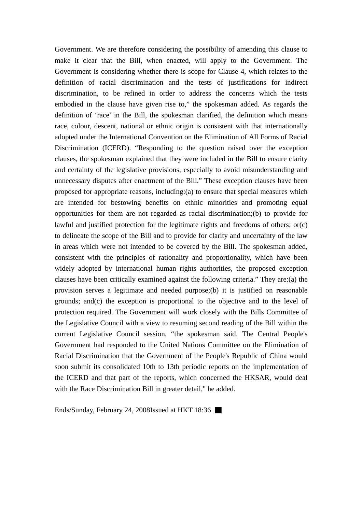Government. We are therefore considering the possibility of amending this clause to make it clear that the Bill, when enacted, will apply to the Government. The Government is considering whether there is scope for Clause 4, which relates to the definition of racial discrimination and the tests of justifications for indirect discrimination, to be refined in order to address the concerns which the tests embodied in the clause have given rise to," the spokesman added. As regards the definition of 'race' in the Bill, the spokesman clarified, the definition which means race, colour, descent, national or ethnic origin is consistent with that internationally adopted under the International Convention on the Elimination of All Forms of Racial Discrimination (ICERD). "Responding to the question raised over the exception clauses, the spokesman explained that they were included in the Bill to ensure clarity and certainty of the legislative provisions, especially to avoid misunderstanding and unnecessary disputes after enactment of the Bill." These exception clauses have been proposed for appropriate reasons, including:(a) to ensure that special measures which are intended for bestowing benefits on ethnic minorities and promoting equal opportunities for them are not regarded as racial discrimination;(b) to provide for lawful and justified protection for the legitimate rights and freedoms of others; or(c) to delineate the scope of the Bill and to provide for clarity and uncertainty of the law in areas which were not intended to be covered by the Bill. The spokesman added, consistent with the principles of rationality and proportionality, which have been widely adopted by international human rights authorities, the proposed exception clauses have been critically examined against the following criteria." They are:(a) the provision serves a legitimate and needed purpose;(b) it is justified on reasonable grounds; and(c) the exception is proportional to the objective and to the level of protection required. The Government will work closely with the Bills Committee of the Legislative Council with a view to resuming second reading of the Bill within the current Legislative Council session, "the spokesman said. The Central People's Government had responded to the United Nations Committee on the Elimination of Racial Discrimination that the Government of the People's Republic of China would soon submit its consolidated 10th to 13th periodic reports on the implementation of the ICERD and that part of the reports, which concerned the HKSAR, would deal with the Race Discrimination Bill in greater detail," he added.

Ends/Sunday, February 24, 2008Issued at HKT 18:36 ■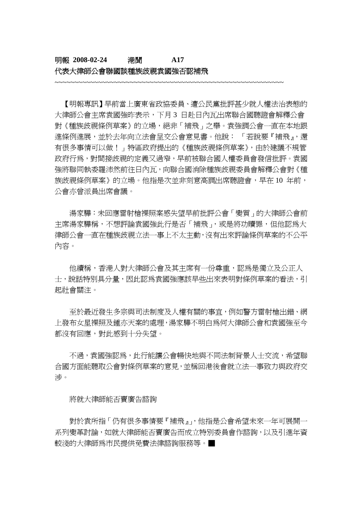## 明報 **2008-02-24** 港聞 **A17**  代表大律師公會聯國談種族歧視袁國強否認補飛

 【明報專訊】早前當上廣東省政協委員、遭公民黨批評甚少就人權法治表態的 大律師公會主席袁國強昨表示,下月 3 日赴日內瓦出席聯合國聽證會解釋公會 對《種族歧視條例草案》的立場,絕非「補飛」之舉。袁強調公會一直在本地跟 進條例進展,並於去年向立法會呈交公會意見書。他說:「若說要『補飛』,還 有很多事情可以做!」特區政府提出的《種族歧視條例草案》,由於建議不規管 政府行為,對間接歧視的定義又過窄,早前被聯合國人權委員會發信批評。袁國 強將聯同執委羅沛然前往日內瓦,向聯合國消除種族歧視委員會解釋公會對《種 族歧視條例草案》的立場。他指是次並非刻意高調出席聽證會,早在 10 年前, 公會亦曾派員出席會議。

~~~~~~~~~~~~~~~~~~~~~~~~~~~~~~~~~~~~~~~~~~~~~~~~~~~~~~~~~~

 湯家驊:未回應雷射槍裸照案感失望早前批評公會「變質」的大律師公會前 主席湯家驊稱,不想評論袁國強此行是否「補飛」,或是將功贖罪,但他認為大 律師公會一直在種族歧視立法一事上不太主動,沒有出來評論條例草案的不公平 內容。

他續稱,香港人對大律師公會及其主席有一份尊重,認為是獨立及公正人 士,說話特別具分量,因此認為袁國強應該早些出來表明對條例草案的看法,引 起社會關注。

 至於最近發生多宗與司法制度及人權有關的事宜,例如警方雷射槍出錯、網 上發布女星裸照及鍾亦天案的處理,湯家驊不明白為何大律師公會和袁國強至今 都沒有回應,對此感到十分失望。

不過,袁國強認為,此行能讓公會暢快地與不同法制背景人士交流,希望聯 合國方面能聽取公會對條例草案的意見,並稱回港後會就立法一事致力與政府交 涉。

#### 將就大律師能否賣廣告諮詢

 對於袁所指「仍有很多事情要『補飛』」,他指是公會希望未來一年可展開一 系列變革討論,如就大律師能否賣廣告而成立特別委員會作諮詢,以及引進年資 較淺的大律師為市民提供免費法律諮詢服務等。■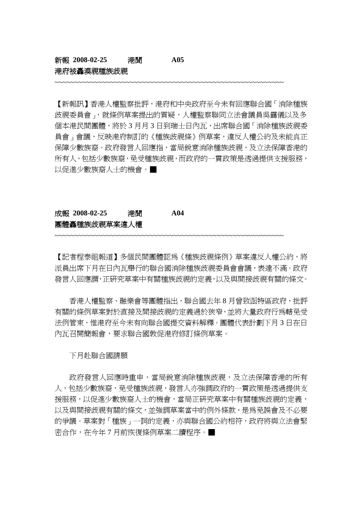#### 新報 **2008-02-25** 港聞 **A05**  港府被轟漠視種族歧視

【新報訊】香港人權監察批評,港府和中央政府至今未有回應聯合國「消除種族 歧視委員會」,就條例草案提出的質疑,人權監察聯同立法會議員吳靄儀以及多 個本港民間團體,將於 3 月月 3 日到瑞士日內瓦,出席聯合國「消除種族歧視委 員會」會議,反映港府制訂的《種族歧視條》例草案,違反人權公約及未能真正 保障少數族裔。政府發言人回應指,當局銳意消除種族歧視,及立法保障香港的 所有人,包括少數族裔,免受種族歧視,而政府的一貫政策是透過提供支援服務, 以促進少數族裔人士的機會。■

~~~~~~~~~~~~~~~~~~~~~~~~~~~~~~~~~~~~~~~~~~~~~~~~~~~~~~~~~~

## 成報 **2008-02-25** 港聞 **A04**  團體轟種族歧視草案違人權

~~~~~~~~~~~~~~~~~~~~~~~~~~~~~~~~~~~~~~~~~~~~~~~~~~~~~~~~~~

【記者程泰祖報道】多個民間團體認為《種族歧視條例》草案違反人權公約,將 派員出席下月在日內瓦舉行的聯合國消除種族歧視委員會會議,表達不滿。政府 發言人回應謂,正研究草案中有關種族歧視的定義,以及與間接歧視有關的條文。

 香港人權監察、融樂會等團體指出,聯合國去年 8 月曾致函特區政府,批評 有關的條例草案對於直接及間接歧視的定義過於狹窄,並將大量政府行為轄免受 法例管束,惟港府至今未有向聯合國提交資料解釋。團體代表計劃下月 3 日在日 內瓦召開簡報會,要求聯合國敦促港府修訂條例草案。

下月赴聯合國請願

政府發言人回應時重申,當局銳意消除種族歧視,及立法保障香港的所有 人,包括少數族裔,免受種族歧視,發言人亦強調政府的一貫政策是透過提供支 援服務,以促進少數族裔人士的機會,當局正研究草案中有關種族歧視的定義, 以及與間接歧視有關的條文,並強調草案當中的例外條款,是為免誤會及不必要 的爭議。草案對「種族」一詞的定義,亦與聯合國公約相符,政府將與立法會緊 密合作,在今年 7 月前恢復條例草案二讀程序。■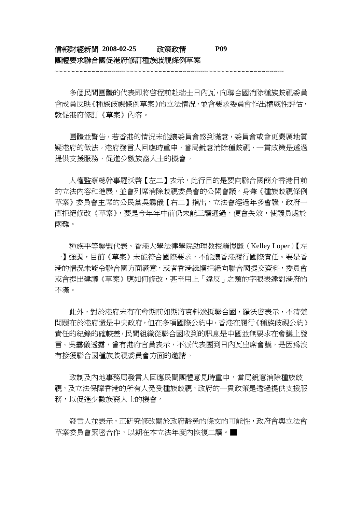#### 信報財經新聞 **2008-02-25** 政策政情 **P09**  團體要求聯合國促港府修訂種族歧視條例草案

 多個民間團體的代表即將啟程前赴瑞士日內瓦,向聯合國消除種族歧視委員 會成員反映《種族歧視條例草案》的立法情況,並會要求委員會作出權威性評估, 敦促港府修訂《草案》內容。

~~~~~~~~~~~~~~~~~~~~~~~~~~~~~~~~~~~~~~~~~~~~~~~~~~~~~~~~~~

 團體並警告,若香港的情況未能讓委員會感到滿意,委員會或會更嚴厲地質 疑港府的做法。港府發言人回應時重申,當局銳意消除種歧視,一貫政策是透過 提供支援服務,促進少數族裔人士的機會。

人權監察總幹事羅沃啓【左二】表示,此行目的是要向聯合國簡介香港目前 的立法內容和進展,並會列席消除歧視委員會的公開會議。身兼《種族歧視條例 草案》委員會主席的公民黨吳靄儀【右二】指出,立法會經過年多會議,政府一 直拒絕修改《草案》,要是今年年中前仍未能三讀通過,便會失效,使議員處於 兩難。

 種族平等聯盟代表、香港大學法律學院助理教授羅愷麗(Kelley Loper)【左 一】強調,目前《草案》未能符合國際要求,不能讓香港履行國際責任。要是香 港的情況未能令聯合國方面滿意,或者香港繼續拒絕向聯合國提交資料,委員會 或會提出建議《草案》應如何修改,甚至用上「違反」之類的字眼表達對港府的 不滿。

此外,對於港府未有在會期前如期將資料送抵聯合國,羅沃啓表示,不清楚 問題在於港府還是中央政府,但在多項國際公約中,香港在履行《種族歧視公約》 責任的紀錄的確較差,民間組織從聯合國收到的訊息是中國並無要求在會議上發 言。吳靄儀透露,曾有港府官員表示,不派代表團到日內瓦出席會議,是因為沒 有接獲聯合國種族歧視委員會方面的邀請。

政制及內地事務局發言人回應民間團體意見時重申,當局銳意消除種族歧 視,及立法保障香港的所有人免受種族歧視,政府的一貫政策是透過提供支援服 務,以促進少數族裔人士的機會。

發言人並表示,正研究修改關於政府豁免的條文的可能性,政府會與立法會 草案委員會緊密合作,以期在本立法年度內恢復二讀。■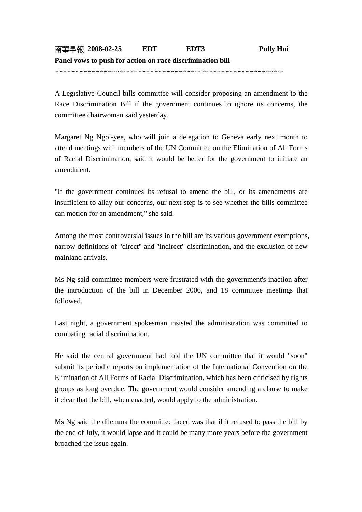~~~~~~~~~~~~~~~~~~~~~~~~~~~~~~~~~~~~~~~~~~~~~~~~~~~~~~~~~~

A Legislative Council bills committee will consider proposing an amendment to the Race Discrimination Bill if the government continues to ignore its concerns, the committee chairwoman said yesterday.

Margaret Ng Ngoi-yee, who will join a delegation to Geneva early next month to attend meetings with members of the UN Committee on the Elimination of All Forms of Racial Discrimination, said it would be better for the government to initiate an amendment.

"If the government continues its refusal to amend the bill, or its amendments are insufficient to allay our concerns, our next step is to see whether the bills committee can motion for an amendment," she said.

Among the most controversial issues in the bill are its various government exemptions, narrow definitions of "direct" and "indirect" discrimination, and the exclusion of new mainland arrivals.

Ms Ng said committee members were frustrated with the government's inaction after the introduction of the bill in December 2006, and 18 committee meetings that followed.

Last night, a government spokesman insisted the administration was committed to combating racial discrimination.

He said the central government had told the UN committee that it would "soon" submit its periodic reports on implementation of the International Convention on the Elimination of All Forms of Racial Discrimination, which has been criticised by rights groups as long overdue. The government would consider amending a clause to make it clear that the bill, when enacted, would apply to the administration.

Ms Ng said the dilemma the committee faced was that if it refused to pass the bill by the end of July, it would lapse and it could be many more years before the government broached the issue again.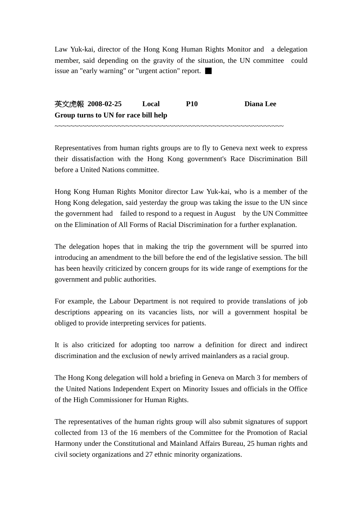Law Yuk-kai, director of the Hong Kong Human Rights Monitor and a delegation member, said depending on the gravity of the situation, the UN committee could issue an "early warning" or "urgent action" report. ■

英文虎報 **2008-02-25 Local P10 Diana Lee Group turns to UN for race bill help**  ~~~~~~~~~~~~~~~~~~~~~~~~~~~~~~~~~~~~~~~~~~~~~~~~~~~~~~~~~~

Representatives from human rights groups are to fly to Geneva next week to express their dissatisfaction with the Hong Kong government's Race Discrimination Bill before a United Nations committee.

Hong Kong Human Rights Monitor director Law Yuk-kai, who is a member of the Hong Kong delegation, said yesterday the group was taking the issue to the UN since the government had failed to respond to a request in August by the UN Committee on the Elimination of All Forms of Racial Discrimination for a further explanation.

The delegation hopes that in making the trip the government will be spurred into introducing an amendment to the bill before the end of the legislative session. The bill has been heavily criticized by concern groups for its wide range of exemptions for the government and public authorities.

For example, the Labour Department is not required to provide translations of job descriptions appearing on its vacancies lists, nor will a government hospital be obliged to provide interpreting services for patients.

It is also criticized for adopting too narrow a definition for direct and indirect discrimination and the exclusion of newly arrived mainlanders as a racial group.

The Hong Kong delegation will hold a briefing in Geneva on March 3 for members of the United Nations Independent Expert on Minority Issues and officials in the Office of the High Commissioner for Human Rights.

The representatives of the human rights group will also submit signatures of support collected from 13 of the 16 members of the Committee for the Promotion of Racial Harmony under the Constitutional and Mainland Affairs Bureau, 25 human rights and civil society organizations and 27 ethnic minority organizations.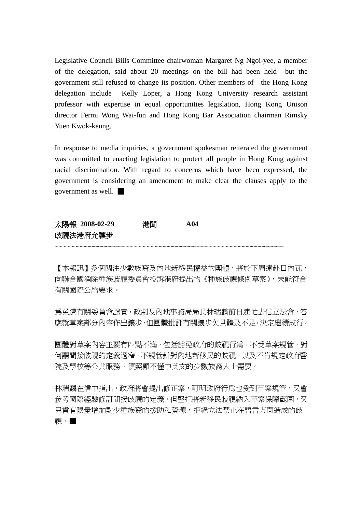Legislative Council Bills Committee chairwoman Margaret Ng Ngoi-yee, a member of the delegation, said about 20 meetings on the bill had been held but the government still refused to change its position. Other members of the Hong Kong delegation include Kelly Loper, a Hong Kong University research assistant professor with expertise in equal opportunities legislation, Hong Kong Unison director Fermi Wong Wai-fun and Hong Kong Bar Association chairman Rimsky Yuen Kwok-keung.

In response to media inquiries, a government spokesman reiterated the government was committed to enacting legislation to protect all people in Hong Kong against racial discrimination. With regard to concerns which have been expressed, the government is considering an amendment to make clear the clauses apply to the government as well. ■

| 太陽報 2008-02-29 | 港聞 | A04 |
|----------------|----|-----|
| 歧視法港府允讓步       |    |     |
|                |    |     |

【本報訊】多個關注少數族裔及內地新移民權益的團體,將於下周遠赴日內瓦, 向聯合國消除種族歧視委員會投訴港府提出的《種族歧視條例草案》,未能符合 有關國際公約要求。

為免遭有關委員會譴責,政制及內地事務局局長林瑞麟前日連忙去信立法會,答 應就草案部分內容作出讓步,但團體批評有關讓步欠具體及不足,決定繼續成行。

團體對草案內容主要有四點不滿,包括豁免政府的歧視行為,不受草案規管,對 何謂間接歧視的定義過窄,不規管針對內地新移民的歧視,以及不肯規定政府醫 院及學校等公共服務,須照顧不懂中英文的少數族裔人士需要。

林瑞麟在信中指出,政府將會提出修正案,訂明政府行為也受到草案規管,又會 參考國際經驗修訂間接歧視的定義,但堅拒將新移民歧視納入草案保障範圍,又 只肯有限量增加對少種族裔的援助和資源,拒絕立法禁止在語言方面造成的歧 視。■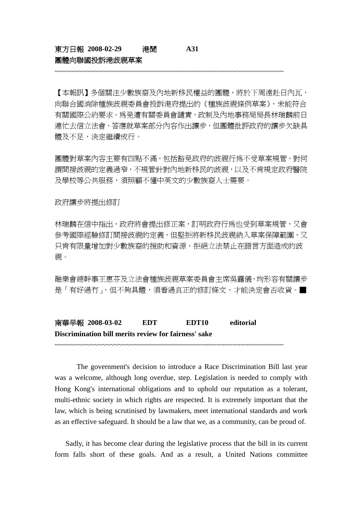### 東方日報 **2008-02-29** 港聞 **A31**  團體向聯國投訴港歧視草案

【本報訊】多個關注少數族裔及內地新移民權益的團體,將於下周遠赴日內瓦, 向聯合國消除種族歧視委員會投訴港府提出的《種族歧視條例草案》,未能符合 有關國際公約要求。為免遭有關委員會譴責,政制及內地事務局局長林瑞麟前日 連忙去信立法會,答應就草案部分內容作出讓步,但團體批評政府的讓步欠缺具 體及不足,決定繼續成行。

~~~~~~~~~~~~~~~~~~~~~~~~~~~~~~~~~~~~~~~~~~~~~~~~~~~~~~~~~~

團體對草案內容主要有四點不滿,包括豁免政府的歧視行為不受草案規管,對何 謂間接歧視的定義過窄,不規管針對內地新移民的歧視,以及不肯規定政府醫院 及學校等公共服務,須照顧不懂中英文的少數族裔人士需要。

政府讓步將提出修訂

林瑞麟在信中指出,政府將會提出修正案,訂明政府行為也受到草案規管,又會 參考國際經驗修訂間接歧視的定義,但堅拒將新移民歧視納入草案保障範圍,又 只肯有限量增加對少數族裔的援助和資源,拒絕立法禁止在語言方面造成的歧 視。

融樂會總幹事王惠芬及立法會種族歧視草案委員會主席吳靄儀,均形容有關讓步 是「有好過冇」,但不夠具體,須看過真正的修訂條文,才能決定會否收貨。■

南華早報 **2008-03-02 EDT EDT10 editorial Discrimination bill merits review for fairness' sake** 

~~~~~~~~~~~~~~~~~~~~~~~~~~~~~~~~~~~~~~~~~~~~~~~~~~~~~~~~~~

 The government's decision to introduce a Race Discrimination Bill last year was a welcome, although long overdue, step. Legislation is needed to comply with Hong Kong's international obligations and to uphold our reputation as a tolerant, multi-ethnic society in which rights are respected. It is extremely important that the law, which is being scrutinised by lawmakers, meet international standards and work as an effective safeguard. It should be a law that we, as a community, can be proud of.

 Sadly, it has become clear during the legislative process that the bill in its current form falls short of these goals. And as a result, a United Nations committee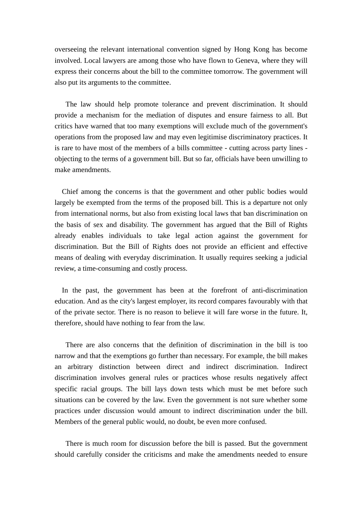overseeing the relevant international convention signed by Hong Kong has become involved. Local lawyers are among those who have flown to Geneva, where they will express their concerns about the bill to the committee tomorrow. The government will also put its arguments to the committee.

 The law should help promote tolerance and prevent discrimination. It should provide a mechanism for the mediation of disputes and ensure fairness to all. But critics have warned that too many exemptions will exclude much of the government's operations from the proposed law and may even legitimise discriminatory practices. It is rare to have most of the members of a bills committee - cutting across party lines objecting to the terms of a government bill. But so far, officials have been unwilling to make amendments.

 Chief among the concerns is that the government and other public bodies would largely be exempted from the terms of the proposed bill. This is a departure not only from international norms, but also from existing local laws that ban discrimination on the basis of sex and disability. The government has argued that the Bill of Rights already enables individuals to take legal action against the government for discrimination. But the Bill of Rights does not provide an efficient and effective means of dealing with everyday discrimination. It usually requires seeking a judicial review, a time-consuming and costly process.

 In the past, the government has been at the forefront of anti-discrimination education. And as the city's largest employer, its record compares favourably with that of the private sector. There is no reason to believe it will fare worse in the future. It, therefore, should have nothing to fear from the law.

 There are also concerns that the definition of discrimination in the bill is too narrow and that the exemptions go further than necessary. For example, the bill makes an arbitrary distinction between direct and indirect discrimination. Indirect discrimination involves general rules or practices whose results negatively affect specific racial groups. The bill lays down tests which must be met before such situations can be covered by the law. Even the government is not sure whether some practices under discussion would amount to indirect discrimination under the bill. Members of the general public would, no doubt, be even more confused.

 There is much room for discussion before the bill is passed. But the government should carefully consider the criticisms and make the amendments needed to ensure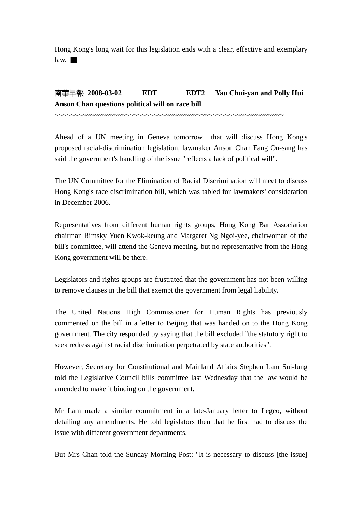Hong Kong's long wait for this legislation ends with a clear, effective and exemplary  $law. \blacksquare$ 

# 南華早報 2008-03-02 EDT EDT2 Yau Chui-yan and Polly Hui **Anson Chan questions political will on race bill**

~~~~~~~~~~~~~~~~~~~~~~~~~~~~~~~~~~~~~~~~~~~~~~~~~~~~~~~~~~

Ahead of a UN meeting in Geneva tomorrow that will discuss Hong Kong's proposed racial-discrimination legislation, lawmaker Anson Chan Fang On-sang has said the government's handling of the issue "reflects a lack of political will".

The UN Committee for the Elimination of Racial Discrimination will meet to discuss Hong Kong's race discrimination bill, which was tabled for lawmakers' consideration in December 2006.

Representatives from different human rights groups, Hong Kong Bar Association chairman Rimsky Yuen Kwok-keung and Margaret Ng Ngoi-yee, chairwoman of the bill's committee, will attend the Geneva meeting, but no representative from the Hong Kong government will be there.

Legislators and rights groups are frustrated that the government has not been willing to remove clauses in the bill that exempt the government from legal liability.

The United Nations High Commissioner for Human Rights has previously commented on the bill in a letter to Beijing that was handed on to the Hong Kong government. The city responded by saying that the bill excluded "the statutory right to seek redress against racial discrimination perpetrated by state authorities".

However, Secretary for Constitutional and Mainland Affairs Stephen Lam Sui-lung told the Legislative Council bills committee last Wednesday that the law would be amended to make it binding on the government.

Mr Lam made a similar commitment in a late-January letter to Legco, without detailing any amendments. He told legislators then that he first had to discuss the issue with different government departments.

But Mrs Chan told the Sunday Morning Post: "It is necessary to discuss [the issue]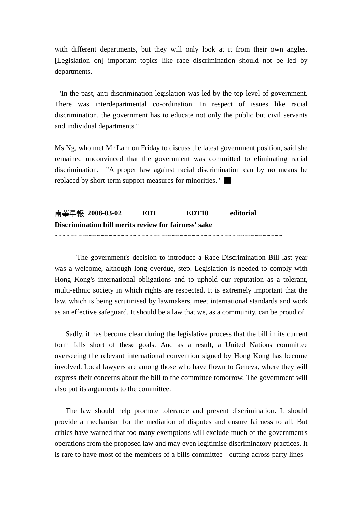with different departments, but they will only look at it from their own angles. [Legislation on] important topics like race discrimination should not be led by departments.

 "In the past, anti-discrimination legislation was led by the top level of government. There was interdepartmental co-ordination. In respect of issues like racial discrimination, the government has to educate not only the public but civil servants and individual departments."

Ms Ng, who met Mr Lam on Friday to discuss the latest government position, said she remained unconvinced that the government was committed to eliminating racial discrimination. "A proper law against racial discrimination can by no means be replaced by short-term support measures for minorities." ■

## 南華早報 **2008-03-02 EDT EDT10 editorial Discrimination bill merits review for fairness' sake**

~~~~~~~~~~~~~~~~~~~~~~~~~~~~~~~~~~~~~~~~~~~~~~~~~~~~~~~~~~

 The government's decision to introduce a Race Discrimination Bill last year was a welcome, although long overdue, step. Legislation is needed to comply with Hong Kong's international obligations and to uphold our reputation as a tolerant, multi-ethnic society in which rights are respected. It is extremely important that the law, which is being scrutinised by lawmakers, meet international standards and work as an effective safeguard. It should be a law that we, as a community, can be proud of.

 Sadly, it has become clear during the legislative process that the bill in its current form falls short of these goals. And as a result, a United Nations committee overseeing the relevant international convention signed by Hong Kong has become involved. Local lawyers are among those who have flown to Geneva, where they will express their concerns about the bill to the committee tomorrow. The government will also put its arguments to the committee.

 The law should help promote tolerance and prevent discrimination. It should provide a mechanism for the mediation of disputes and ensure fairness to all. But critics have warned that too many exemptions will exclude much of the government's operations from the proposed law and may even legitimise discriminatory practices. It is rare to have most of the members of a bills committee - cutting across party lines -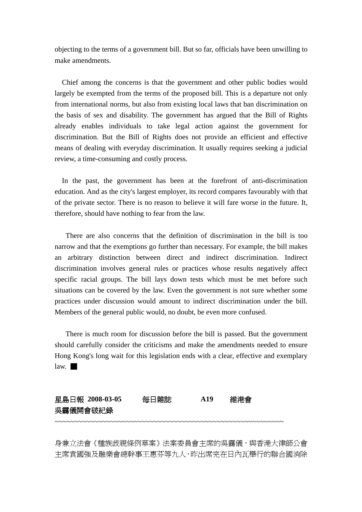objecting to the terms of a government bill. But so far, officials have been unwilling to make amendments.

 Chief among the concerns is that the government and other public bodies would largely be exempted from the terms of the proposed bill. This is a departure not only from international norms, but also from existing local laws that ban discrimination on the basis of sex and disability. The government has argued that the Bill of Rights already enables individuals to take legal action against the government for discrimination. But the Bill of Rights does not provide an efficient and effective means of dealing with everyday discrimination. It usually requires seeking a judicial review, a time-consuming and costly process.

 In the past, the government has been at the forefront of anti-discrimination education. And as the city's largest employer, its record compares favourably with that of the private sector. There is no reason to believe it will fare worse in the future. It, therefore, should have nothing to fear from the law.

 There are also concerns that the definition of discrimination in the bill is too narrow and that the exemptions go further than necessary. For example, the bill makes an arbitrary distinction between direct and indirect discrimination. Indirect discrimination involves general rules or practices whose results negatively affect specific racial groups. The bill lays down tests which must be met before such situations can be covered by the law. Even the government is not sure whether some practices under discussion would amount to indirect discrimination under the bill. Members of the general public would, no doubt, be even more confused.

 There is much room for discussion before the bill is passed. But the government should carefully consider the criticisms and make the amendments needed to ensure Hong Kong's long wait for this legislation ends with a clear, effective and exemplary  $law. \blacksquare$ 

| 星島日報 2008-03-05 | 每日雜誌 | A19 | 維港會 |
|-----------------|------|-----|-----|
| 吳靄儀開會破紀錄        |      |     |     |
|                 |      |     |     |

身兼立法會《種族歧視條例草案》法案委員會主席的吳靄儀,與香港大律師公會 主席袁國強及融樂會總幹事王惠芬等九人,昨出席完在日內瓦舉行的聯合國消除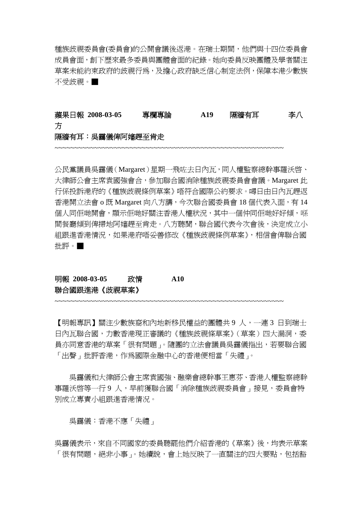種族歧視委員會(委員會)的公開會議後返港。在瑞士期間,他們與十四位委員會 成員會面,創下歷來最多委員與團體會面的紀錄。她向委員反映團體及學者關注 草案未能約束政府的歧視行為,及擔心政府缺乏信心制定法例,保障本港少數族 不受歧視。■

### 蘋果日報 **2008-03-05** 專欄專論 **A19** 隔牆有耳李八 方 隔牆有耳:吳靄儀俾阿嬸趕至肯走

~~~~~~~~~~~~~~~~~~~~~~~~~~~~~~~~~~~~~~~~~~~~~~~~~~~~~~~~~~

公民黨議員吳靄儀(Margaret)星期一飛咗去日內瓦,同人權監察總幹事羅沃啟、 大律師公會主席袁國強會合,參加聯合國消除種族歧視委員會會議。Margaret 此 行係投訴港府的《種族歧視條例草案》唔符合國際公約要求。噚日由日內瓦趕返 香港開立法會 o 既 Margaret 向八方講,今次聯合國委員會 18 個代表入面,有 14 個人同佢哋開會,顯示佢哋好關注香港人權狀況,其中一個仲同佢哋好好傾,喺 間餐廳傾到俾掃地阿嬸趕至肯走。八方聽聞,聯合國代表今次會後,決定成立小 組跟進香港情況,如果港府唔妥善修改《種族歧視條例草案》,相信會俾聯合國 批評。■

## 明報 **2008-03-05** 政情 **A10**  聯合國跟進港《歧視草案》

【明報專訊】關注少數族裔和內地新移民權益的團體共 9 人,一連 3 日到瑞士 日內瓦聯合國,力數香港現正審議的《種族歧視條草案》(草案)四大漏洞,委 員亦同意香港的草案「很有問題」。隨團的立法會議員吳靄儀指出,若要聯合國 「出聲」批評香港,作為國際金融中心的香港便相當「失禮」。

~~~~~~~~~~~~~~~~~~~~~~~~~~~~~~~~~~~~~~~~~~~~~~~~~~~~~~~~~~

 吳靄儀和大律師公會主席袁國強、融樂會總幹事王惠芬、香港人權監察總幹 事羅沃啓等一行9 人,早前獲聯合國「消除種族歧視委員會」接見,委員會特 別成立專責小組跟進香港情。

吳靄儀:香港不應「失禮」

吳靄儀表示,來自不同國家的委員聽罷他們介紹香港的《草案》後,均表示草案 「很有問題,絕非小事」。她續說,會上她反映了一直關注的四大要點,包括豁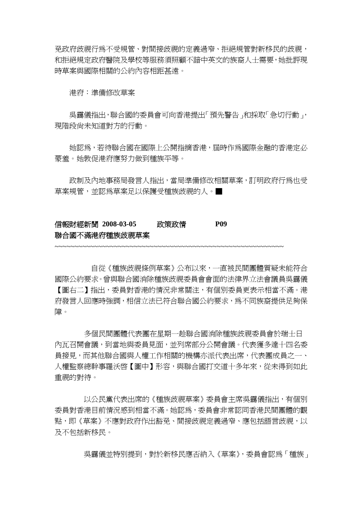免政府歧視行為不受規管、對間接歧視的定義過窄、拒絕規管對新移民的歧視, 和拒絕規定政府醫院及學校等服務須照顧不諳中英文的族裔人士需要,她批評現 時草案與國際相關的公約內容相距甚遠。

港府:準備修改草案

 吳靄儀指出,聯合國的委員會可向香港提出「預先警告」和採取「急切行動」, 現階段尚未知道對方的行動。

 她認為,若待聯合國在國際上公開指摘香港,屆時作為國際金融的香港定必 蒙羞。她敦促港府應努力做到種族平等。

政制及內地事務局發言人指出,當局準備修改相關草案,訂明政府行爲也受 草案規管,並認為草案足以保護受種族歧視的人。■

### 信報財經新聞 **2008-03-05** 政策政情 **P09**  聯合國不滿港府種族歧視草案

~~~~~~~~~~~~~~~~~~~~~~~~~~~~~~~~~~~~~~~~~~~~~~~~~~~~~~~~~~

 自從《種族歧視條例草案》公布以來,一直被民間團體質疑未能符合 國際公約要求。曾與聯合國消除種族歧視委員會會面的法律界立法會議員吳靄儀 【圖右二】指出,委員對香港的情況非常關注,有個別委員更表示相當不滿。港 府發言人回應時強調,相信立法已符合聯合國公約要求,為不同族裔提供足夠保 障。

 多個民間團體代表團在星期一趁聯合國消除種族歧視委員會於瑞士日 內瓦召開會議,到當地與委員見面,並列席部分公開會議。代表獲多達十四名委 員接見,而其他聯合國與人權工作相關的機構亦派代表出席,代表團成員之一、 人權監察總幹事羅沃啟【圖中】形容,與聯合國打交道十多年來,從未得到如此 重視的對待。

 以公民黨代表出席的《種族歧視草案》委員會主席吳靄儀指出,有個別 委員對香港目前情況感到相當不滿。她認為,委員會非常認同香港民間團體的觀 點,即《草案》不應對政府作出豁免、間接歧視定義過窄、應包括語言歧視,以 及不包括新移民。

吳靄儀並特別提到,對於新移民應否納入《草案》,委員會認為「種族」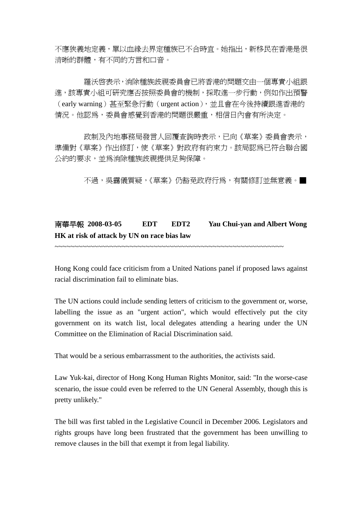不應狹義地定義,單以血緣去界定種族已不合時宜。她指出,新移民在香港是很 清晰的群體,有不同的方言和口音。

羅沃啓表示,消除種族歧視委員會已將香港的問題交由一個專責小組跟 進,該專責小組可研究應否按照委員會的機制,採取進一步行動,例如作出預警 (early warning)甚至緊急行動(urgent action),並且會在今後持續跟進香港的 情況。他認爲,委員會感覺到香港的問題很嚴重,相信日內會有所決定。

 政制及內地事務局發言人回覆查詢時表示,已向《草案》委員會表示, 準備對《草案》作出修訂,使《草案》對政府有約束力。該局認為已符合聯合國 公約的要求,並為消除種族歧視提供足夠保障。

不渦,吳靄儀質疑,《草案》仍豁免政府行為,有關修訂並無意義。■

## 南華早報 **2008-03-05 EDT EDT2 Yau Chui-yan and Albert Wong HK at risk of attack by UN on race bias law**

~~~~~~~~~~~~~~~~~~~~~~~~~~~~~~~~~~~~~~~~~~~~~~~~~~~~~~~~~~

Hong Kong could face criticism from a United Nations panel if proposed laws against racial discrimination fail to eliminate bias.

The UN actions could include sending letters of criticism to the government or, worse, labelling the issue as an "urgent action", which would effectively put the city government on its watch list, local delegates attending a hearing under the UN Committee on the Elimination of Racial Discrimination said.

That would be a serious embarrassment to the authorities, the activists said.

Law Yuk-kai, director of Hong Kong Human Rights Monitor, said: "In the worse-case scenario, the issue could even be referred to the UN General Assembly, though this is pretty unlikely."

The bill was first tabled in the Legislative Council in December 2006. Legislators and rights groups have long been frustrated that the government has been unwilling to remove clauses in the bill that exempt it from legal liability.